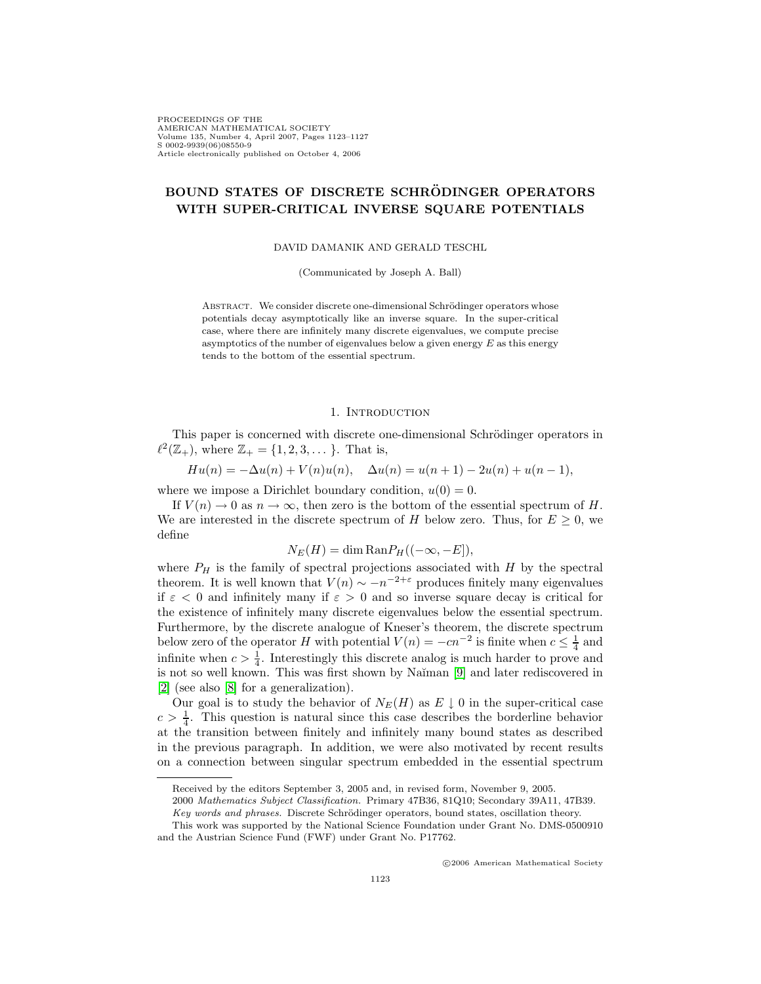PROCEEDINGS OF THE AMERICAN MATHEMATICAL SOCIETY Volume 135, Number 4, April 2007, Pages 1123–1127 S 0002-9939(06)08550-9 Article electronically published on October 4, 2006

# **BOUND STATES OF DISCRETE SCHRÖDINGER OPERATORS WITH SUPER-CRITICAL INVERSE SQUARE POTENTIALS**

DAVID DAMANIK AND GERALD TESCHL

(Communicated by Joseph A. Ball)

ABSTRACT. We consider discrete one-dimensional Schrödinger operators whose potentials decay asymptotically like an inverse square. In the super-critical case, where there are infinitely many discrete eigenvalues, we compute precise asymptotics of the number of eigenvalues below a given energy  $E$  as this energy tends to the bottom of the essential spectrum.

### 1. INTRODUCTION

This paper is concerned with discrete one-dimensional Schrödinger operators in  $\ell^2(\mathbb{Z}_+)$ , where  $\mathbb{Z}_+ = \{1, 2, 3, \dots\}$ . That is,

$$
Hu(n) = -\Delta u(n) + V(n)u(n), \quad \Delta u(n) = u(n+1) - 2u(n) + u(n-1),
$$

where we impose a Dirichlet boundary condition,  $u(0) = 0$ .

If  $V(n) \to 0$  as  $n \to \infty$ , then zero is the bottom of the essential spectrum of H. We are interested in the discrete spectrum of H below zero. Thus, for  $E \geq 0$ , we define

$$
N_E(H) = \dim \text{Ran} P_H((-\infty, -E]),
$$

where  $P_H$  is the family of spectral projections associated with  $H$  by the spectral theorem. It is well known that  $V(n) \sim -n^{-2+\epsilon}$  produces finitely many eigenvalues if  $\varepsilon$  < 0 and infinitely many if  $\varepsilon > 0$  and so inverse square decay is critical for the existence of infinitely many discrete eigenvalues below the essential spectrum. Furthermore, by the discrete analogue of Kneser's theorem, the discrete spectrum below zero of the operator H with potential  $V(n) = -cn^{-2}$  is finite when  $c \leq \frac{1}{4}$  and infinite when  $c > \frac{1}{4}$ . Interestingly this discrete analog is much harder to prove and is not so well known. This was first shown by Naĭman [\[9\]](#page-4-0) and later rediscovered in [\[2\]](#page-4-1) (see also [\[8\]](#page-4-2) for a generalization).

Our goal is to study the behavior of  $N_E(H)$  as  $E \downarrow 0$  in the super-critical case  $c > \frac{1}{4}$ . This question is natural since this case describes the borderline behavior at the transition between finitely and infinitely many bound states as described in the previous paragraph. In addition, we were also motivated by recent results on a connection between singular spectrum embedded in the essential spectrum

c 2006 American Mathematical Society

Received by the editors September 3, 2005 and, in revised form, November 9, 2005.

<sup>2000</sup> Mathematics Subject Classification. Primary 47B36, 81Q10; Secondary 39A11, 47B39. Key words and phrases. Discrete Schrödinger operators, bound states, oscillation theory.

This work was supported by the National Science Foundation under Grant No. DMS-0500910 and the Austrian Science Fund (FWF) under Grant No. P17762.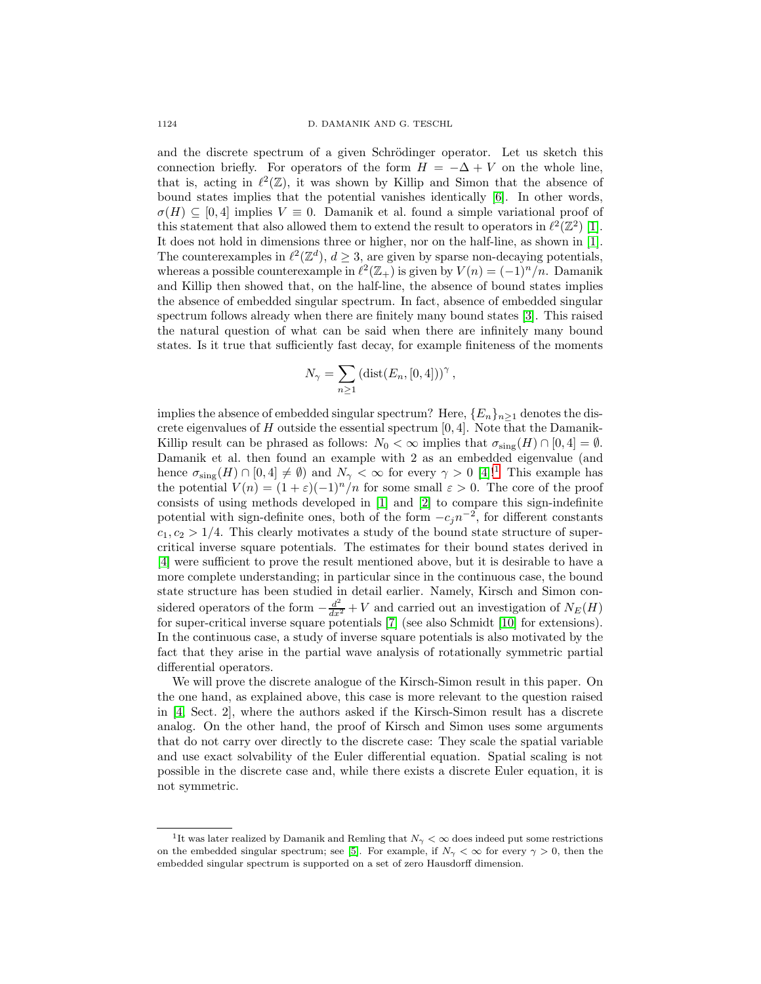and the discrete spectrum of a given Schrödinger operator. Let us sketch this connection briefly. For operators of the form  $H = -\Delta + V$  on the whole line, that is, acting in  $\ell^2(\mathbb{Z})$ , it was shown by Killip and Simon that the absence of bound states implies that the potential vanishes identically [\[6\]](#page-4-3). In other words,  $\sigma(H) \subseteq [0, 4]$  implies  $V \equiv 0$ . Damanik et al. found a simple variational proof of this statement that also allowed them to extend the result to operators in  $\ell^2(\mathbb{Z}^2)$  [\[1\]](#page-4-4). It does not hold in dimensions three or higher, nor on the half-line, as shown in [\[1\]](#page-4-4). The counterexamples in  $\ell^2(\mathbb{Z}^d)$ ,  $d \geq 3$ , are given by sparse non-decaying potentials, whereas a possible counterexample in  $\ell^2(\mathbb{Z}_+)$  is given by  $V(n)=(-1)^n/n$ . Damanik and Killip then showed that, on the half-line, the absence of bound states implies the absence of embedded singular spectrum. In fact, absence of embedded singular spectrum follows already when there are finitely many bound states [\[3\]](#page-4-5). This raised the natural question of what can be said when there are infinitely many bound states. Is it true that sufficiently fast decay, for example finiteness of the moments

$$
N_{\gamma} = \sum_{n \ge 1} \left( \text{dist}(E_n, [0, 4]) \right)^{\gamma},
$$

implies the absence of embedded singular spectrum? Here,  ${E_n}_{n\geq 1}$  denotes the discrete eigenvalues of H outside the essential spectrum  $[0, 4]$ . Note that the Damanik-Killip result can be phrased as follows:  $N_0 < \infty$  implies that  $\sigma_{sing}(H) \cap [0, 4] = \emptyset$ . Damanik et al. then found an example with 2 as an embedded eigenvalue (and hence  $\sigma_{sing}(H) \cap [0,4] \neq \emptyset$  and  $N_{\gamma} < \infty$  for every  $\gamma > 0$  [\[4\]](#page-4-6)<sup>[[1](#page-1-0)</sup> This example has the potential  $V(n) = (1 + \varepsilon)(-1)^n/n$  for some small  $\varepsilon > 0$ . The core of the proof consists of using methods developed in [\[1\]](#page-4-4) and [\[2\]](#page-4-1) to compare this sign-indefinite potential with sign-definite ones, both of the form  $-c_jn^{-2}$ , for different constants  $c_1, c_2 > 1/4$ . This clearly motivates a study of the bound state structure of supercritical inverse square potentials. The estimates for their bound states derived in [\[4\]](#page-4-6) were sufficient to prove the result mentioned above, but it is desirable to have a more complete understanding; in particular since in the continuous case, the bound state structure has been studied in detail earlier. Namely, Kirsch and Simon considered operators of the form  $-\frac{d^2}{dx^2} + V$  and carried out an investigation of  $N_E(H)$ for super-critical inverse square potentials [\[7\]](#page-4-7) (see also Schmidt [\[10\]](#page-4-8) for extensions). In the continuous case, a study of inverse square potentials is also motivated by the fact that they arise in the partial wave analysis of rotationally symmetric partial differential operators.

We will prove the discrete analogue of the Kirsch-Simon result in this paper. On the one hand, as explained above, this case is more relevant to the question raised in [\[4,](#page-4-6) Sect. 2], where the authors asked if the Kirsch-Simon result has a discrete analog. On the other hand, the proof of Kirsch and Simon uses some arguments that do not carry over directly to the discrete case: They scale the spatial variable and use exact solvability of the Euler differential equation. Spatial scaling is not possible in the discrete case and, while there exists a discrete Euler equation, it is not symmetric.

<span id="page-1-1"></span><span id="page-1-0"></span><sup>&</sup>lt;sup>1</sup>It was later realized by Damanik and Remling that  $N_{\gamma} < \infty$  does indeed put some restrictions on the embedded singular spectrum; see [\[5\]](#page-4-9). For example, if  $N_{\gamma} < \infty$  for every  $\gamma > 0$ , then the embedded singular spectrum is supported on a set of zero Hausdorff dimension.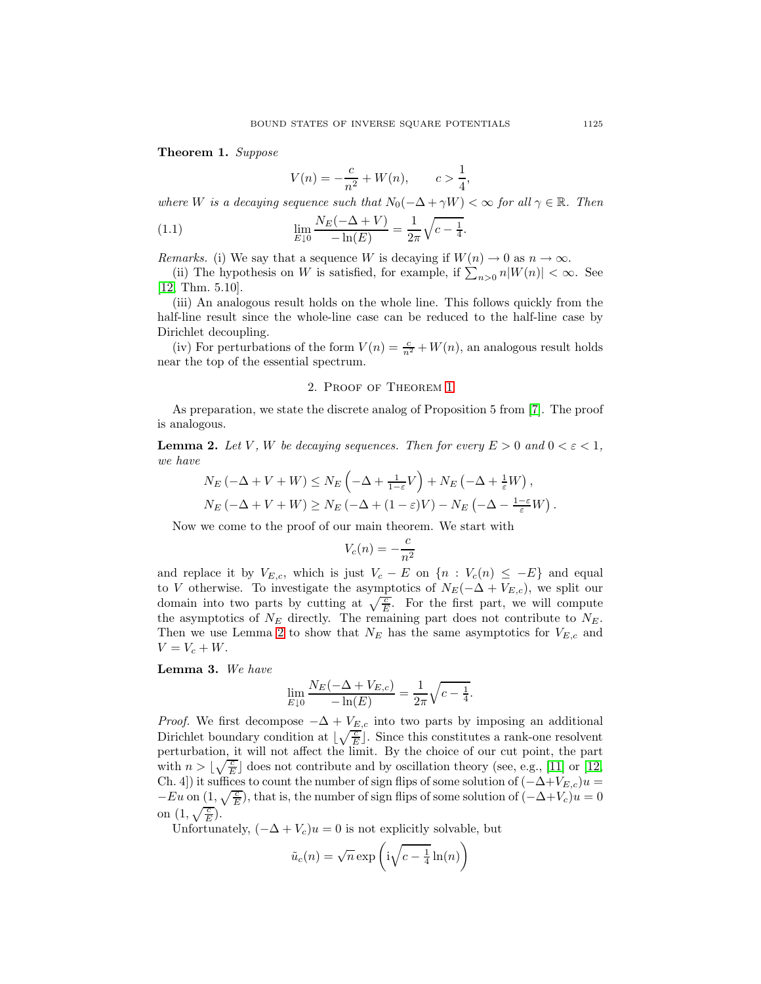**Theorem 1.** Suppose

<span id="page-2-1"></span>
$$
V(n) = -\frac{c}{n^2} + W(n), \qquad c > \frac{1}{4},
$$

where W is a decaying sequence such that  $N_0(-\Delta + \gamma W) < \infty$  for all  $\gamma \in \mathbb{R}$ . Then

(1.1) 
$$
\lim_{E \downarrow 0} \frac{N_E(-\Delta + V)}{-\ln(E)} = \frac{1}{2\pi} \sqrt{c - \frac{1}{4}}.
$$

*Remarks.* (i) We say that a sequence W is decaying if  $W(n) \to 0$  as  $n \to \infty$ .

(ii) The hypothesis on W is satisfied, for example, if  $\sum_{n>0} n|W(n)| < \infty$ . See [\[12,](#page-4-10) Thm. 5.10].

(iii) An analogous result holds on the whole line. This follows quickly from the half-line result since the whole-line case can be reduced to the half-line case by Dirichlet decoupling.

(iv) For perturbations of the form  $V(n) = \frac{c}{n^2} + W(n)$ , an analogous result holds near the top of the essential spectrum.

## 2. Proof of Theorem [1](#page-1-1)

<span id="page-2-0"></span>As preparation, we state the discrete analog of Proposition 5 from [\[7\]](#page-4-7). The proof is analogous.

**Lemma 2.** Let V, W be decaying sequences. Then for every  $E > 0$  and  $0 < \varepsilon < 1$ , we have

$$
N_E\left(-\Delta + V + W\right) \le N_E\left(-\Delta + \frac{1}{1-\varepsilon}V\right) + N_E\left(-\Delta + \frac{1}{\varepsilon}W\right),
$$
  
\n
$$
N_E\left(-\Delta + V + W\right) \ge N_E\left(-\Delta + (1-\varepsilon)V\right) - N_E\left(-\Delta - \frac{1-\varepsilon}{\varepsilon}W\right).
$$

Now we come to the proof of our main theorem. We start with

$$
V_c(n) = -\frac{c}{n^2}
$$

and replace it by  $V_{E,c}$ , which is just  $V_c - E$  on  $\{n : V_c(n) \leq -E\}$  and equal to V otherwise. To investigate the asymptotics of  $N_E(-\Delta + V_{E,c})$ , we split our domain into two parts by cutting at  $\sqrt{\frac{c}{E}}$ . For the first part, we will compute the asymptotics of  $N_E$  directly. The remaining part does not contribute to  $N_E$ . Then we use Lemma [2](#page-2-0) to show that  $N_E$  has the same asymptotics for  $V_{E,c}$  and  $V = V_c + W.$ 

<span id="page-2-2"></span>**Lemma 3.** We have

$$
\lim_{E \downarrow 0} \frac{N_E(-\Delta + V_{E,c})}{-\ln(E)} = \frac{1}{2\pi} \sqrt{c - \frac{1}{4}}.
$$

*Proof.* We first decompose  $-\Delta + V_{E,c}$  into two parts by imposing an additional Dirichlet boundary condition at  $\lfloor \sqrt{\frac{c}{E}} \rfloor$ . Since this constitutes a rank-one resolvent perturbation, it will not affect the limit. By the choice of our cut point, the part with  $n > \lfloor \sqrt{\frac{c}{E}} \rfloor$  does not contribute and by oscillation theory (see, e.g., [\[11\]](#page-4-11) or [\[12,](#page-4-10) Ch. 4]) it suffices to count the number of sign flips of some solution of  $(-\Delta+V_{E,c})u =$  $-Eu$  on  $(1, \sqrt{\frac{c}{E}})$ , that is, the number of sign flips of some solution of  $(-\Delta + V_c)u = 0$ on  $(1, \sqrt{\frac{c}{E}})$ .

Unfortunately,  $(-\Delta + V_c)u = 0$  is not explicitly solvable, but

$$
\tilde{u}_c(n) = \sqrt{n} \exp\left(\mathrm{i} \sqrt{c - \frac{1}{4}} \ln(n)\right)
$$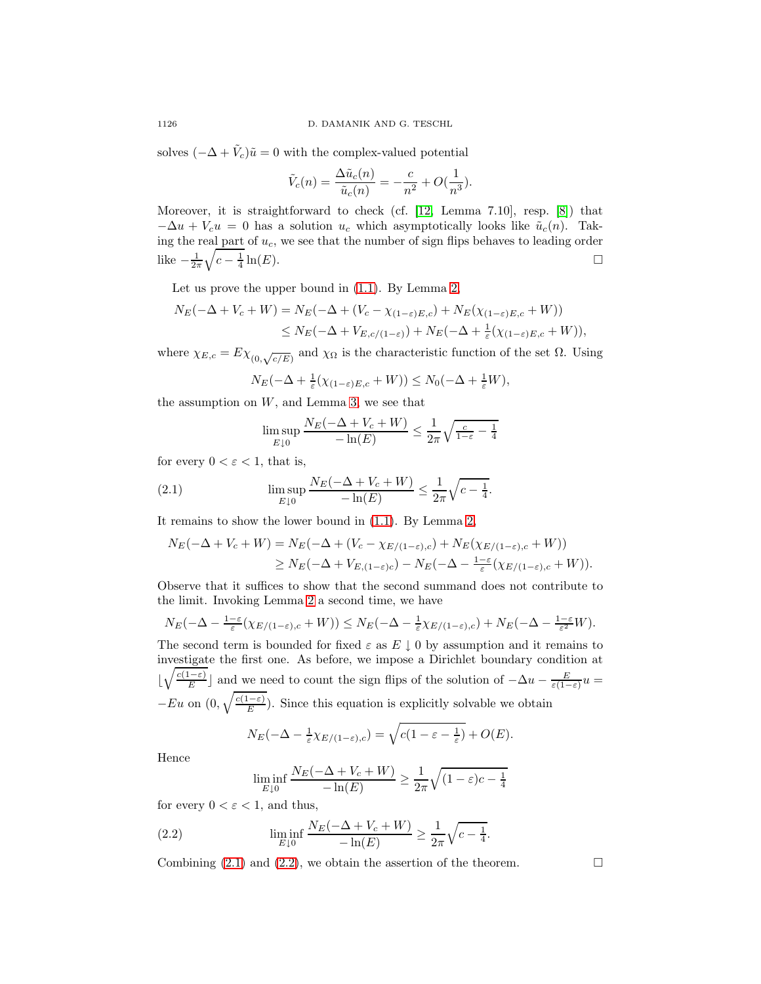solves  $(-\Delta + \tilde{V}_c)\tilde{u} = 0$  with the complex-valued potential

$$
\tilde{V}_c(n) = \frac{\Delta \tilde{u}_c(n)}{\tilde{u}_c(n)} = -\frac{c}{n^2} + O(\frac{1}{n^3}).
$$

Moreover, it is straightforward to check (cf. [\[12,](#page-4-10) Lemma 7.10], resp. [\[8\]](#page-4-2)) that  $-\Delta u + V_c u = 0$  has a solution  $u_c$  which asymptotically looks like  $\tilde{u}_c(n)$ . Taking the real part of  $u_c$ , we see that the number of sign flips behaves to leading order like  $-\frac{1}{2\pi}\sqrt{c-\frac{1}{4}}\ln(E)$ .

Let us prove the upper bound in [\(1.1\)](#page-2-1). By Lemma [2,](#page-2-0)

$$
N_E(-\Delta + V_c + W) = N_E(-\Delta + (V_c - \chi_{(1-\varepsilon)E,c}) + N_E(\chi_{(1-\varepsilon)E,c} + W))
$$
  
\n
$$
\leq N_E(-\Delta + V_{E,c/(1-\varepsilon)}) + N_E(-\Delta + \frac{1}{\varepsilon}(\chi_{(1-\varepsilon)E,c} + W)),
$$

where  $\chi_{E,c} = E \chi_{(0,\sqrt{c/E})}$  and  $\chi_{\Omega}$  is the characteristic function of the set  $\Omega$ . Using

$$
N_E(-\Delta + \frac{1}{\varepsilon}(\chi_{(1-\varepsilon)E,c} + W)) \leq N_0(-\Delta + \frac{1}{\varepsilon}W),
$$

the assumption on  $W$ , and Lemma [3,](#page-2-2) we see that

<span id="page-3-0"></span>
$$
\limsup_{E \downarrow 0} \frac{N_E(-\Delta + V_c + W)}{-\ln(E)} \le \frac{1}{2\pi} \sqrt{\frac{c}{1 - \varepsilon} - \frac{1}{4}}
$$

for every  $0 < \varepsilon < 1$ , that is,

(2.1) 
$$
\limsup_{E \downarrow 0} \frac{N_E(-\Delta + V_c + W)}{-\ln(E)} \le \frac{1}{2\pi} \sqrt{c - \frac{1}{4}}.
$$

It remains to show the lower bound in [\(1.1\)](#page-2-1). By Lemma [2,](#page-2-0)

$$
N_E(-\Delta + V_c + W) = N_E(-\Delta + (V_c - \chi_{E/(1-\varepsilon),c}) + N_E(\chi_{E/(1-\varepsilon),c} + W))
$$
  
 
$$
\geq N_E(-\Delta + V_{E,(1-\varepsilon)c}) - N_E(-\Delta - \frac{1-\varepsilon}{\varepsilon}(\chi_{E/(1-\varepsilon),c} + W)).
$$

Observe that it suffices to show that the second summand does not contribute to the limit. Invoking Lemma [2](#page-2-0) a second time, we have

$$
N_E(-\Delta - \frac{1-\varepsilon}{\varepsilon}(\chi_{E/(1-\varepsilon),c} + W)) \leq N_E(-\Delta - \frac{1}{\varepsilon}\chi_{E/(1-\varepsilon),c}) + N_E(-\Delta - \frac{1-\varepsilon}{\varepsilon^2}W).
$$

The second term is bounded for fixed  $\varepsilon$  as  $E \downarrow 0$  by assumption and it remains to investigate the first one. As before, we impose a Dirichlet boundary condition at  $\lfloor \sqrt{\frac{c(1-\varepsilon)}{E}} \rfloor$  and we need to count the sign flips of the solution of  $-\Delta u - \frac{E}{\varepsilon(1-\varepsilon)}u$  $-Eu$  on  $(0, \sqrt{\frac{c(1-\varepsilon)}{E}})$ . Since this equation is explicitly solvable we obtain

$$
N_E(-\Delta - \frac{1}{\varepsilon} \chi_{E/(1-\varepsilon),c}) = \sqrt{c(1-\varepsilon - \frac{1}{\varepsilon})} + O(E).
$$

Hence

<span id="page-3-1"></span>
$$
\liminf_{E \downarrow 0} \frac{N_E(-\Delta + V_c + W)}{-\ln(E)} \ge \frac{1}{2\pi} \sqrt{(1 - \varepsilon)c - \frac{1}{4}}
$$

for every  $0 < \varepsilon < 1$ , and thus,

(2.2) 
$$
\liminf_{E \downarrow 0} \frac{N_E(-\Delta + V_c + W)}{-\ln(E)} \ge \frac{1}{2\pi} \sqrt{c - \frac{1}{4}}.
$$

Combining  $(2.1)$  and  $(2.2)$ , we obtain the assertion of the theorem.